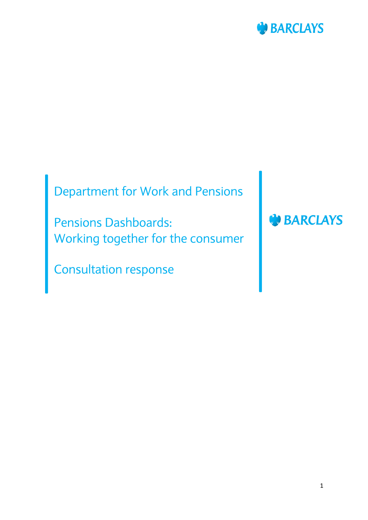

# Department for Work and Pensions

Pensions Dashboards: Working together for the consumer

Consultation response

**BARCLAYS**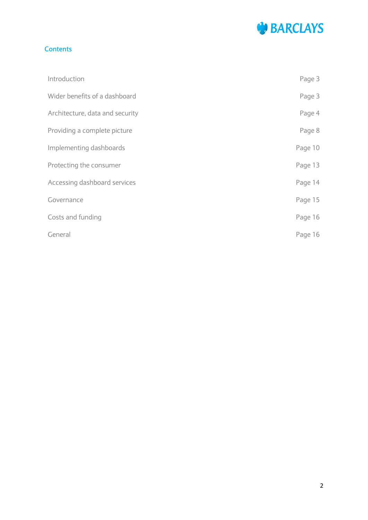

## **Contents**

| Introduction                    | Page 3  |
|---------------------------------|---------|
| Wider benefits of a dashboard   | Page 3  |
| Architecture, data and security | Page 4  |
| Providing a complete picture    | Page 8  |
| Implementing dashboards         | Page 10 |
| Protecting the consumer         | Page 13 |
| Accessing dashboard services    | Page 14 |
| Governance                      | Page 15 |
| Costs and funding               | Page 16 |
| General                         | Page 16 |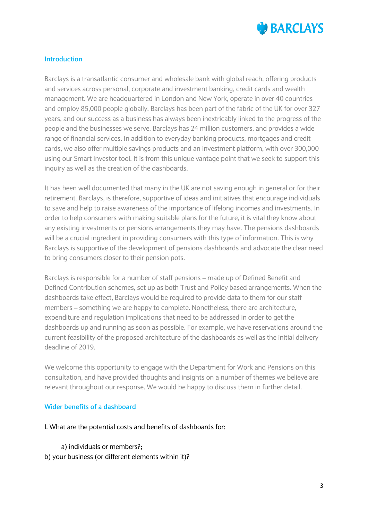

## **Introduction**

Barclays is a transatlantic consumer and wholesale bank with global reach, offering products and services across personal, corporate and investment banking, credit cards and wealth management. We are headquartered in London and New York, operate in over 40 countries and employ 85,000 people globally. Barclays has been part of the fabric of the UK for over 327 years, and our success as a business has always been inextricably linked to the progress of the people and the businesses we serve. Barclays has 24 million customers, and provides a wide range of financial services. In addition to everyday banking products, mortgages and credit cards, we also offer multiple savings products and an investment platform, with over 300,000 using our Smart Investor tool. It is from this unique vantage point that we seek to support this inquiry as well as the creation of the dashboards.

It has been well documented that many in the UK are not saving enough in general or for their retirement. Barclays, is therefore, supportive of ideas and initiatives that encourage individuals to save and help to raise awareness of the importance of lifelong incomes and investments. In order to help consumers with making suitable plans for the future, it is vital they know about any existing investments or pensions arrangements they may have. The pensions dashboards will be a crucial ingredient in providing consumers with this type of information. This is why Barclays is supportive of the development of pensions dashboards and advocate the clear need to bring consumers closer to their pension pots.

Barclays is responsible for a number of staff pensions – made up of Defined Benefit and Defined Contribution schemes, set up as both Trust and Policy based arrangements. When the dashboards take effect, Barclays would be required to provide data to them for our staff members – something we are happy to complete. Nonetheless, there are architecture, expenditure and regulation implications that need to be addressed in order to get the dashboards up and running as soon as possible. For example, we have reservations around the current feasibility of the proposed architecture of the dashboards as well as the initial delivery deadline of 2019.

We welcome this opportunity to engage with the Department for Work and Pensions on this consultation, and have provided thoughts and insights on a number of themes we believe are relevant throughout our response. We would be happy to discuss them in further detail.

## **Wider benefits of a dashboard**

#### I. What are the potential costs and benefits of dashboards for:

 a) individuals or members?; b) your business (or different elements within it)?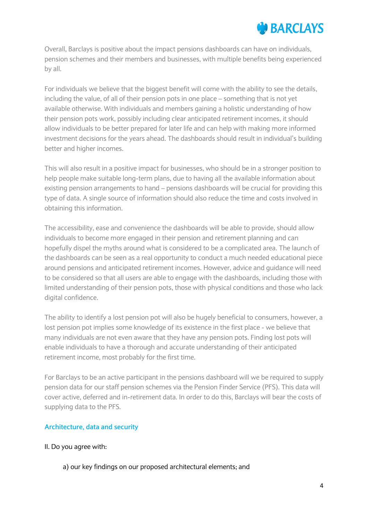# **BARCLAYS**

Overall, Barclays is positive about the impact pensions dashboards can have on individuals, pension schemes and their members and businesses, with multiple benefits being experienced by all.

For individuals we believe that the biggest benefit will come with the ability to see the details, including the value, of all of their pension pots in one place – something that is not yet available otherwise. With individuals and members gaining a holistic understanding of how their pension pots work, possibly including clear anticipated retirement incomes, it should allow individuals to be better prepared for later life and can help with making more informed investment decisions for the years ahead. The dashboards should result in individual's building better and higher incomes.

This will also result in a positive impact for businesses, who should be in a stronger position to help people make suitable long-term plans, due to having all the available information about existing pension arrangements to hand – pensions dashboards will be crucial for providing this type of data. A single source of information should also reduce the time and costs involved in obtaining this information.

The accessibility, ease and convenience the dashboards will be able to provide, should allow individuals to become more engaged in their pension and retirement planning and can hopefully dispel the myths around what is considered to be a complicated area. The launch of the dashboards can be seen as a real opportunity to conduct a much needed educational piece around pensions and anticipated retirement incomes. However, advice and guidance will need to be considered so that all users are able to engage with the dashboards, including those with limited understanding of their pension pots, those with physical conditions and those who lack digital confidence.

The ability to identify a lost pension pot will also be hugely beneficial to consumers, however, a lost pension pot implies some knowledge of its existence in the first place - we believe that many individuals are not even aware that they have any pension pots. Finding lost pots will enable individuals to have a thorough and accurate understanding of their anticipated retirement income, most probably for the first time.

For Barclays to be an active participant in the pensions dashboard will we be required to supply pension data for our staff pension schemes via the Pension Finder Service (PFS). This data will cover active, deferred and in-retirement data. In order to do this, Barclays will bear the costs of supplying data to the PFS.

## **Architecture, data and security**

- II. Do you agree with:
	- a) our key findings on our proposed architectural elements; and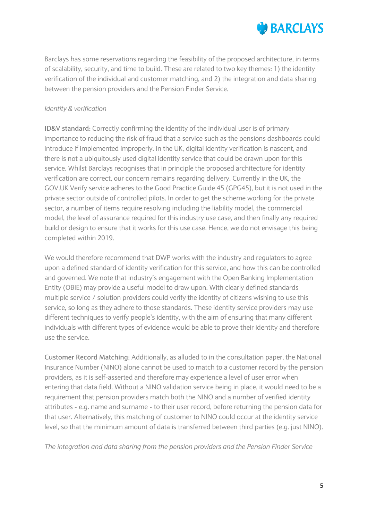

Barclays has some reservations regarding the feasibility of the proposed architecture, in terms of scalability, security, and time to build. These are related to two key themes: 1) the identity verification of the individual and customer matching, and 2) the integration and data sharing between the pension providers and the Pension Finder Service.

# *Identity & verification*

**ID&V standard:** Correctly confirming the identity of the individual user is of primary importance to reducing the risk of fraud that a service such as the pensions dashboards could introduce if implemented improperly. In the UK, digital identity verification is nascent, and there is not a ubiquitously used digital identity service that could be drawn upon for this service. Whilst Barclays recognises that in principle the proposed architecture for identity verification are correct, our concern remains regarding delivery. Currently in the UK, the GOV.UK Verify service adheres to the Good Practice Guide 45 (GPG45), but it is not used in the private sector outside of controlled pilots. In order to get the scheme working for the private sector, a number of items require resolving including the liability model, the commercial model, the level of assurance required for this industry use case, and then finally any required build or design to ensure that it works for this use case. Hence, we do not envisage this being completed within 2019.

We would therefore recommend that DWP works with the industry and regulators to agree upon a defined standard of identity verification for this service, and how this can be controlled and governed. We note that industry's engagement with the Open Banking Implementation Entity (OBIE) may provide a useful model to draw upon. With clearly defined standards multiple service / solution providers could verify the identity of citizens wishing to use this service, so long as they adhere to those standards. These identity service providers may use different techniques to verify people's identity, with the aim of ensuring that many different individuals with different types of evidence would be able to prove their identity and therefore use the service.

**Customer Record Matching:** Additionally, as alluded to in the consultation paper, the National Insurance Number (NINO) alone cannot be used to match to a customer record by the pension providers, as it is self-asserted and therefore may experience a level of user error when entering that data field. Without a NINO validation service being in place, it would need to be a requirement that pension providers match both the NINO and a number of verified identity attributes - e.g. name and surname - to their user record, before returning the pension data for that user. Alternatively, this matching of customer to NINO could occur at the identity service level, so that the minimum amount of data is transferred between third parties (e.g. just NINO).

*The integration and data sharing from the pension providers and the Pension Finder Service*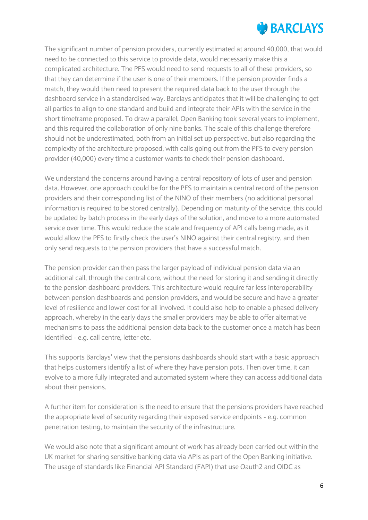# **NO BARCLAYS**

The significant number of pension providers, currently estimated at around 40,000, that would need to be connected to this service to provide data, would necessarily make this a complicated architecture. The PFS would need to send requests to all of these providers, so that they can determine if the user is one of their members. If the pension provider finds a match, they would then need to present the required data back to the user through the dashboard service in a standardised way. Barclays anticipates that it will be challenging to get all parties to align to one standard and build and integrate their APIs with the service in the short timeframe proposed. To draw a parallel, Open Banking took several years to implement, and this required the collaboration of only nine banks. The scale of this challenge therefore should not be underestimated, both from an initial set up perspective, but also regarding the complexity of the architecture proposed, with calls going out from the PFS to every pension provider (40,000) every time a customer wants to check their pension dashboard.

We understand the concerns around having a central repository of lots of user and pension data. However, one approach could be for the PFS to maintain a central record of the pension providers and their corresponding list of the NINO of their members (no additional personal information is required to be stored centrally). Depending on maturity of the service, this could be updated by batch process in the early days of the solution, and move to a more automated service over time. This would reduce the scale and frequency of API calls being made, as it would allow the PFS to firstly check the user's NINO against their central registry, and then only send requests to the pension providers that have a successful match.

The pension provider can then pass the larger payload of individual pension data via an additional call, through the central core, without the need for storing it and sending it directly to the pension dashboard providers. This architecture would require far less interoperability between pension dashboards and pension providers, and would be secure and have a greater level of resilience and lower cost for all involved. It could also help to enable a phased delivery approach, whereby in the early days the smaller providers may be able to offer alternative mechanisms to pass the additional pension data back to the customer once a match has been identified - e.g. call centre, letter etc.

This supports Barclays' view that the pensions dashboards should start with a basic approach that helps customers identify a list of where they have pension pots. Then over time, it can evolve to a more fully integrated and automated system where they can access additional data about their pensions.

A further item for consideration is the need to ensure that the pensions providers have reached the appropriate level of security regarding their exposed service endpoints - e.g. common penetration testing, to maintain the security of the infrastructure.

We would also note that a significant amount of work has already been carried out within the UK market for sharing sensitive banking data via APIs as part of the Open Banking initiative. The usage of standards like Financial API Standard (FAPI) that use Oauth2 and OIDC as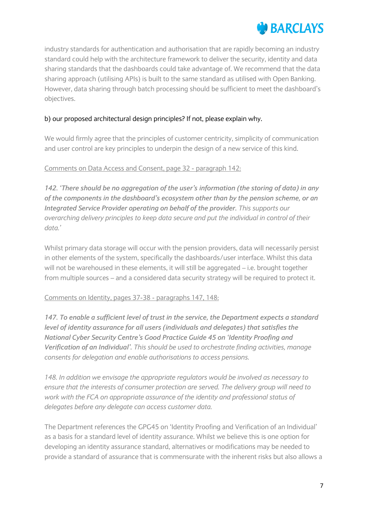

industry standards for authentication and authorisation that are rapidly becoming an industry standard could help with the architecture framework to deliver the security, identity and data sharing standards that the dashboards could take advantage of. We recommend that the data sharing approach (utilising APIs) is built to the same standard as utilised with Open Banking. However, data sharing through batch processing should be sufficient to meet the dashboard's objectives.

## b) our proposed architectural design principles? If not, please explain why.

We would firmly agree that the principles of customer centricity, simplicity of communication and user control are key principles to underpin the design of a new service of this kind.

## Comments on Data Access and Consent, page 32 - paragraph 142:

*142. 'There should be no aggregation of the user's information (the storing of data) in any of the components in the dashboard's ecosystem other than by the pension scheme, or an Integrated Service Provider operating on behalf of the provider. This supports our overarching delivery principles to keep data secure and put the individual in control of their data.'*

Whilst primary data storage will occur with the pension providers, data will necessarily persist in other elements of the system, specifically the dashboards/user interface. Whilst this data will not be warehoused in these elements, it will still be aggregated – i.e. brought together from multiple sources – and a considered data security strategy will be required to protect it.

#### Comments on Identity, pages 37-38 - paragraphs 147, 148:

*147. To enable a sufficient level of trust in the service, the Department expects a standard level of identity assurance for all users (individuals and delegates) that satisfies the National Cyber Security Centre's Good Practice Guide 45 on 'Identity Proofing and Verification of an Individual'. This should be used to orchestrate finding activities, manage consents for delegation and enable authorisations to access pensions.*

*148. In addition we envisage the appropriate regulators would be involved as necessary to ensure that the interests of consumer protection are served. The delivery group will need to work with the FCA on appropriate assurance of the identity and professional status of delegates before any delegate can access customer data.*

The Department references the GPG45 on 'Identity Proofing and Verification of an Individual' as a basis for a standard level of identity assurance. Whilst we believe this is one option for developing an identity assurance standard, alternatives or modifications may be needed to provide a standard of assurance that is commensurate with the inherent risks but also allows a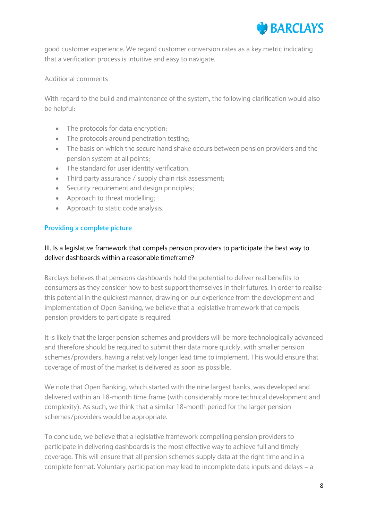

good customer experience. We regard customer conversion rates as a key metric indicating that a verification process is intuitive and easy to navigate.

#### Additional comments

With regard to the build and maintenance of the system, the following clarification would also be helpful:

- The protocols for data encryption;
- The protocols around penetration testing;
- The basis on which the secure hand shake occurs between pension providers and the pension system at all points;
- The standard for user identity verification;
- Third party assurance / supply chain risk assessment;
- Security requirement and design principles;
- Approach to threat modelling;
- Approach to static code analysis.

## **Providing a complete picture**

# III. Is a legislative framework that compels pension providers to participate the best way to deliver dashboards within a reasonable timeframe?

Barclays believes that pensions dashboards hold the potential to deliver real benefits to consumers as they consider how to best support themselves in their futures. In order to realise this potential in the quickest manner, drawing on our experience from the development and implementation of Open Banking, we believe that a legislative framework that compels pension providers to participate is required.

It is likely that the larger pension schemes and providers will be more technologically advanced and therefore should be required to submit their data more quickly, with smaller pension schemes/providers, having a relatively longer lead time to implement. This would ensure that coverage of most of the market is delivered as soon as possible.

We note that Open Banking, which started with the nine largest banks, was developed and delivered within an 18-month time frame (with considerably more technical development and complexity). As such, we think that a similar 18-month period for the larger pension schemes/providers would be appropriate.

To conclude, we believe that a legislative framework compelling pension providers to participate in delivering dashboards is the most effective way to achieve full and timely coverage. This will ensure that all pension schemes supply data at the right time and in a complete format. Voluntary participation may lead to incomplete data inputs and delays – a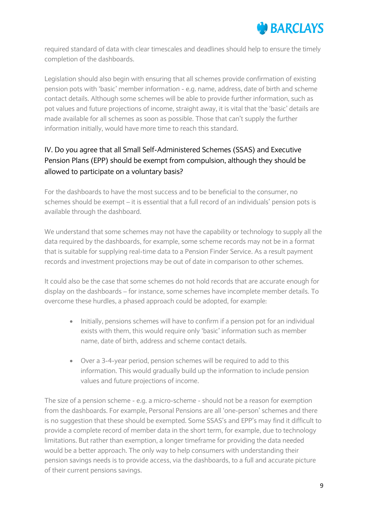

required standard of data with clear timescales and deadlines should help to ensure the timely completion of the dashboards.

Legislation should also begin with ensuring that all schemes provide confirmation of existing pension pots with 'basic' member information - e.g. name, address, date of birth and scheme contact details. Although some schemes will be able to provide further information, such as pot values and future projections of income, straight away, it is vital that the 'basic' details are made available for all schemes as soon as possible. Those that can't supply the further information initially, would have more time to reach this standard.

# IV. Do you agree that all Small Self-Administered Schemes (SSAS) and Executive Pension Plans (EPP) should be exempt from compulsion, although they should be allowed to participate on a voluntary basis?

For the dashboards to have the most success and to be beneficial to the consumer, no schemes should be exempt – it is essential that a full record of an individuals' pension pots is available through the dashboard.

We understand that some schemes may not have the capability or technology to supply all the data required by the dashboards, for example, some scheme records may not be in a format that is suitable for supplying real-time data to a Pension Finder Service. As a result payment records and investment projections may be out of date in comparison to other schemes.

It could also be the case that some schemes do not hold records that are accurate enough for display on the dashboards – for instance, some schemes have incomplete member details. To overcome these hurdles, a phased approach could be adopted, for example:

- Initially, pensions schemes will have to confirm if a pension pot for an individual exists with them, this would require only 'basic' information such as member name, date of birth, address and scheme contact details.
- Over a 3-4-year period, pension schemes will be required to add to this information. This would gradually build up the information to include pension values and future projections of income.

The size of a pension scheme - e.g. a micro-scheme - should not be a reason for exemption from the dashboards. For example, Personal Pensions are all 'one-person' schemes and there is no suggestion that these should be exempted. Some SSAS's and EPP's may find it difficult to provide a complete record of member data in the short term, for example, due to technology limitations. But rather than exemption, a longer timeframe for providing the data needed would be a better approach. The only way to help consumers with understanding their pension savings needs is to provide access, via the dashboards, to a full and accurate picture of their current pensions savings.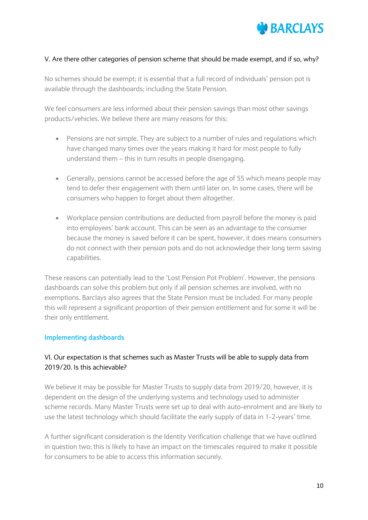

## V. Are there other categories of pension scheme that should be made exempt, and if so, why?

No schemes should be exempt; it is essential that a full record of individuals' pension pot is available through the dashboards; including the State Pension.

We feel consumers are less informed about their pension savings than most other savings products/vehicles. We believe there are many reasons for this:

- Pensions are not simple. They are subject to a number of rules and regulations which have changed many times over the years making it hard for most people to fully understand them – this in turn results in people disengaging.
- Generally, pensions cannot be accessed before the age of 55 which means people may tend to defer their engagement with them until later on. In some cases, there will be consumers who happen to forget about them altogether.
- Workplace pension contributions are deducted from payroll before the money is paid into employees' bank account. This can be seen as an advantage to the consumer because the money is saved before it can be spent, however, it does means consumers do not connect with their pension pots and do not acknowledge their long term saving capabilities.

These reasons can potentially lead to the 'Lost Pension Pot Problem'. However, the pensions dashboards can solve this problem but only if all pension schemes are involved, with no exemptions. Barclays also agrees that the State Pension must be included. For many people this will represent a significant proportion of their pension entitlement and for some it will be their only entitlement.

## **Implementing dashboards**

# VI. Our expectation is that schemes such as Master Trusts will be able to supply data from 2019/20. Is this achievable?

We believe it may be possible for Master Trusts to supply data from 2019/20, however, it is dependent on the design of the underlying systems and technology used to administer scheme records. Many Master Trusts were set up to deal with auto-enrolment and are likely to use the latest technology which should facilitate the early supply of data in 1-2-years' time.

A further significant consideration is the Identity Verification challenge that we have outlined in question two; this is likely to have an impact on the timescales required to make it possible for consumers to be able to access this information securely.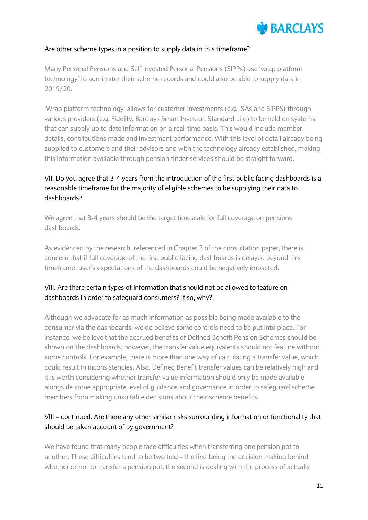

#### Are other scheme types in a position to supply data in this timeframe?

Many Personal Pensions and Self Invested Personal Pensions (SIPPs) use 'wrap platform technology' to administer their scheme records and could also be able to supply data in 2019/20.

'Wrap platform technology' allows for customer investments (e.g. ISAs and SIPPS) through various providers (e.g. Fidelity, Barclays Smart Investor, Standard Life) to be held on systems that can supply up to date information on a real-time basis. This would include member details, contributions made and investment performance. With this level of detail already being supplied to customers and their advisors and with the technology already established, making this information available through pension finder services should be straight forward.

# VII. Do you agree that 3-4 years from the introduction of the first public facing dashboards is a reasonable timeframe for the majority of eligible schemes to be supplying their data to dashboards?

We agree that 3-4 years should be the target timescale for full coverage on pensions dashboards.

As evidenced by the research, referenced in Chapter 3 of the consultation paper, there is concern that if full coverage of the first public facing dashboards is delayed beyond this timeframe, user's expectations of the dashboards could be negatively impacted.

# VIII. Are there certain types of information that should not be allowed to feature on dashboards in order to safeguard consumers? If so, why?

Although we advocate for as much information as possible being made available to the consumer via the dashboards, we do believe some controls need to be put into place. For instance, we believe that the accrued benefits of Defined Benefit Pension Schemes should be shown on the dashboards, however, the transfer value equivalents should not feature without some controls. For example, there is more than one way of calculating a transfer value, which could result in inconsistencies. Also, Defined Benefit transfer values can be relatively high and it is worth considering whether transfer value information should only be made available alongside some appropriate level of guidance and governance in order to safeguard scheme members from making unsuitable decisions about their scheme benefits.

# VIII – continued. Are there any other similar risks surrounding information or functionality that should be taken account of by government?

We have found that many people face difficulties when transferring one pension pot to another. These difficulties tend to be two fold – the first being the decision making behind whether or not to transfer a pension pot, the second is dealing with the process of actually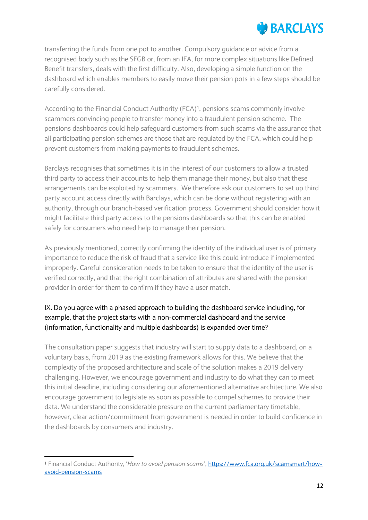# **BARCLAYS**

transferring the funds from one pot to another. Compulsory guidance or advice from a recognised body such as the SFGB or, from an IFA, for more complex situations like Defined Benefit transfers, deals with the first difficulty. Also, developing a simple function on the dashboard which enables members to easily move their pension pots in a few steps should be carefully considered.

According to the Financial Conduct Authority (FCA)<sup>1</sup>, pensions scams commonly involve scammers convincing people to transfer money into a fraudulent pension scheme. The pensions dashboards could help safeguard customers from such scams via the assurance that all participating pension schemes are those that are regulated by the FCA, which could help prevent customers from making payments to fraudulent schemes.

Barclays recognises that sometimes it is in the interest of our customers to allow a trusted third party to access their accounts to help them manage their money, but also that these arrangements can be exploited by scammers. We therefore ask our customers to set up third party account access directly with Barclays, which can be done without registering with an authority, through our branch-based verification process. Government should consider how it might facilitate third party access to the pensions dashboards so that this can be enabled safely for consumers who need help to manage their pension.

As previously mentioned, correctly confirming the identity of the individual user is of primary importance to reduce the risk of fraud that a service like this could introduce if implemented improperly. Careful consideration needs to be taken to ensure that the identity of the user is verified correctly, and that the right combination of attributes are shared with the pension provider in order for them to confirm if they have a user match.

# IX. Do you agree with a phased approach to building the dashboard service including, for example, that the project starts with a non-commercial dashboard and the service (information, functionality and multiple dashboards) is expanded over time?

The consultation paper suggests that industry will start to supply data to a dashboard, on a voluntary basis, from 2019 as the existing framework allows for this. We believe that the complexity of the proposed architecture and scale of the solution makes a 2019 delivery challenging. However, we encourage government and industry to do what they can to meet this initial deadline, including considering our aforementioned alternative architecture. We also encourage government to legislate as soon as possible to compel schemes to provide their data. We understand the considerable pressure on the current parliamentary timetable, however, clear action/commitment from government is needed in order to build confidence in the dashboards by consumers and industry.

**.** 

<sup>1</sup> Financial Conduct Authority, '*How to avoid pension scams'*, [https://www.fca.org.uk/scamsmart/how](https://www.fca.org.uk/scamsmart/how-avoid-pension-scams)[avoid-pension-scams](https://www.fca.org.uk/scamsmart/how-avoid-pension-scams)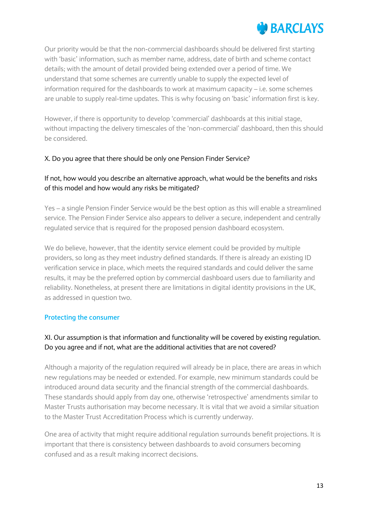

Our priority would be that the non-commercial dashboards should be delivered first starting with 'basic' information, such as member name, address, date of birth and scheme contact details; with the amount of detail provided being extended over a period of time. We understand that some schemes are currently unable to supply the expected level of information required for the dashboards to work at maximum capacity – i.e. some schemes are unable to supply real-time updates. This is why focusing on 'basic' information first is key.

However, if there is opportunity to develop 'commercial' dashboards at this initial stage, without impacting the delivery timescales of the 'non-commercial' dashboard, then this should be considered.

## X. Do you agree that there should be only one Pension Finder Service?

# If not, how would you describe an alternative approach, what would be the benefits and risks of this model and how would any risks be mitigated?

Yes – a single Pension Finder Service would be the best option as this will enable a streamlined service. The Pension Finder Service also appears to deliver a secure, independent and centrally regulated service that is required for the proposed pension dashboard ecosystem.

We do believe, however, that the identity service element could be provided by multiple providers, so long as they meet industry defined standards. If there is already an existing ID verification service in place, which meets the required standards and could deliver the same results, it may be the preferred option by commercial dashboard users due to familiarity and reliability. Nonetheless, at present there are limitations in digital identity provisions in the UK, as addressed in question two.

## **Protecting the consumer**

# XI. Our assumption is that information and functionality will be covered by existing regulation. Do you agree and if not, what are the additional activities that are not covered?

Although a majority of the regulation required will already be in place, there are areas in which new regulations may be needed or extended. For example, new minimum standards could be introduced around data security and the financial strength of the commercial dashboards. These standards should apply from day one, otherwise 'retrospective' amendments similar to Master Trusts authorisation may become necessary. It is vital that we avoid a similar situation to the Master Trust Accreditation Process which is currently underway.

One area of activity that might require additional regulation surrounds benefit projections. It is important that there is consistency between dashboards to avoid consumers becoming confused and as a result making incorrect decisions.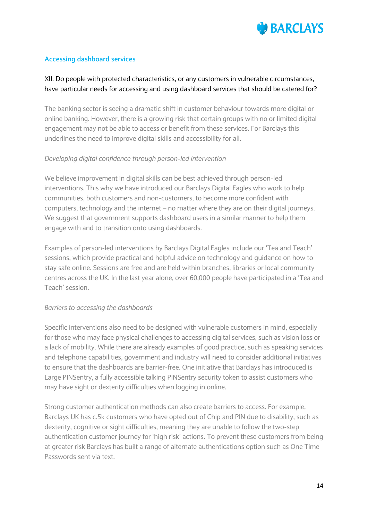

# **Accessing dashboard services**

# XII. Do people with protected characteristics, or any customers in vulnerable circumstances, have particular needs for accessing and using dashboard services that should be catered for?

The banking sector is seeing a dramatic shift in customer behaviour towards more digital or online banking. However, there is a growing risk that certain groups with no or limited digital engagement may not be able to access or benefit from these services. For Barclays this underlines the need to improve digital skills and accessibility for all.

# *Developing digital confidence through person-led intervention*

We believe improvement in digital skills can be best achieved through person-led interventions. This why we have introduced our Barclays Digital Eagles who work to help communities, both customers and non-customers, to become more confident with computers, technology and the internet – no matter where they are on their digital journeys. We suggest that government supports dashboard users in a similar manner to help them engage with and to transition onto using dashboards.

Examples of person-led interventions by Barclays Digital Eagles include our 'Tea and Teach' sessions, which provide practical and helpful advice on technology and guidance on how to stay safe online. Sessions are free and are held within branches, libraries or local community centres across the UK. In the last year alone, over 60,000 people have participated in a 'Tea and Teach' session.

## *Barriers to accessing the dashboards*

Specific interventions also need to be designed with vulnerable customers in mind, especially for those who may face physical challenges to accessing digital services, such as vision loss or a lack of mobility. While there are already examples of good practice, such as speaking services and telephone capabilities, government and industry will need to consider additional initiatives to ensure that the dashboards are barrier-free. One initiative that Barclays has introduced is Large PINSentry, a fully accessible talking PINSentry security token to assist customers who may have sight or dexterity difficulties when logging in online.

Strong customer authentication methods can also create barriers to access. For example, Barclays UK has c.5k customers who have opted out of Chip and PIN due to disability, such as dexterity, cognitive or sight difficulties, meaning they are unable to follow the two-step authentication customer journey for 'high risk' actions. To prevent these customers from being at greater risk Barclays has built a range of alternate authentications option such as One Time Passwords sent via text.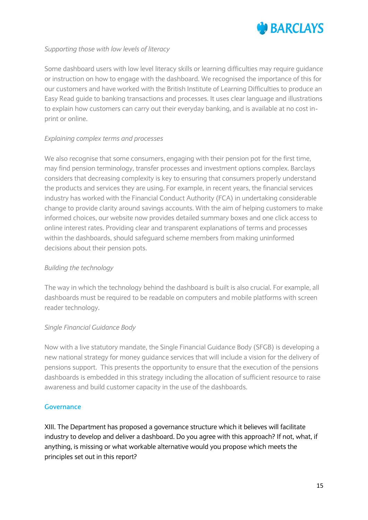

# *Supporting those with low levels of literacy*

Some dashboard users with low level literacy skills or learning difficulties may require guidance or instruction on how to engage with the dashboard. We recognised the importance of this for our customers and have worked with the British Institute of Learning Difficulties to produce an Easy Read guide to banking transactions and processes. It uses clear language and illustrations to explain how customers can carry out their everyday banking, and is available at no cost inprint or online.

# *Explaining complex terms and processes*

We also recognise that some consumers, engaging with their pension pot for the first time, may find pension terminology, transfer processes and investment options complex. Barclays considers that decreasing complexity is key to ensuring that consumers properly understand the products and services they are using. For example, in recent years, the financial services industry has worked with the Financial Conduct Authority (FCA) in undertaking considerable change to provide clarity around savings accounts. With the aim of helping customers to make informed choices, our website now provides detailed summary boxes and one click access to online interest rates. Providing clear and transparent explanations of terms and processes within the dashboards, should safeguard scheme members from making uninformed decisions about their pension pots.

## *Building the technology*

The way in which the technology behind the dashboard is built is also crucial. For example, all dashboards must be required to be readable on computers and mobile platforms with screen reader technology.

## *Single Financial Guidance Body*

Now with a live statutory mandate, the Single Financial Guidance Body (SFGB) is developing a new national strategy for money guidance services that will include a vision for the delivery of pensions support. This presents the opportunity to ensure that the execution of the pensions dashboards is embedded in this strategy including the allocation of sufficient resource to raise awareness and build customer capacity in the use of the dashboards.

## **Governance**

XIII. The Department has proposed a governance structure which it believes will facilitate industry to develop and deliver a dashboard. Do you agree with this approach? If not, what, if anything, is missing or what workable alternative would you propose which meets the principles set out in this report?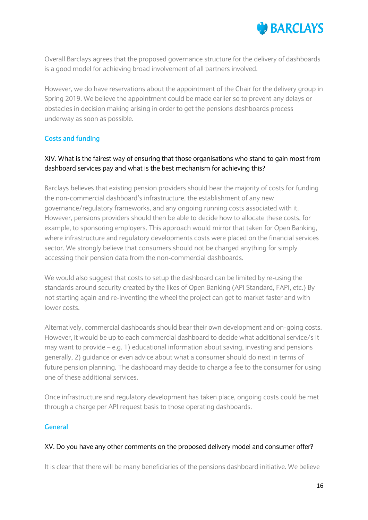

Overall Barclays agrees that the proposed governance structure for the delivery of dashboards is a good model for achieving broad involvement of all partners involved.

However, we do have reservations about the appointment of the Chair for the delivery group in Spring 2019. We believe the appointment could be made earlier so to prevent any delays or obstacles in decision making arising in order to get the pensions dashboards process underway as soon as possible.

# **Costs and funding**

# XIV. What is the fairest way of ensuring that those organisations who stand to gain most from dashboard services pay and what is the best mechanism for achieving this?

Barclays believes that existing pension providers should bear the majority of costs for funding the non-commercial dashboard's infrastructure, the establishment of any new governance/regulatory frameworks, and any ongoing running costs associated with it. However, pensions providers should then be able to decide how to allocate these costs, for example, to sponsoring employers. This approach would mirror that taken for Open Banking, where infrastructure and regulatory developments costs were placed on the financial services sector. We strongly believe that consumers should not be charged anything for simply accessing their pension data from the non-commercial dashboards.

We would also suggest that costs to setup the dashboard can be limited by re-using the standards around security created by the likes of Open Banking (API Standard, FAPI, etc.) By not starting again and re-inventing the wheel the project can get to market faster and with lower costs.

Alternatively, commercial dashboards should bear their own development and on-going costs. However, it would be up to each commercial dashboard to decide what additional service/s it may want to provide – e.g. 1) educational information about saving, investing and pensions generally, 2) guidance or even advice about what a consumer should do next in terms of future pension planning. The dashboard may decide to charge a fee to the consumer for using one of these additional services.

Once infrastructure and regulatory development has taken place, ongoing costs could be met through a charge per API request basis to those operating dashboards.

## **General**

## XV. Do you have any other comments on the proposed delivery model and consumer offer?

It is clear that there will be many beneficiaries of the pensions dashboard initiative. We believe